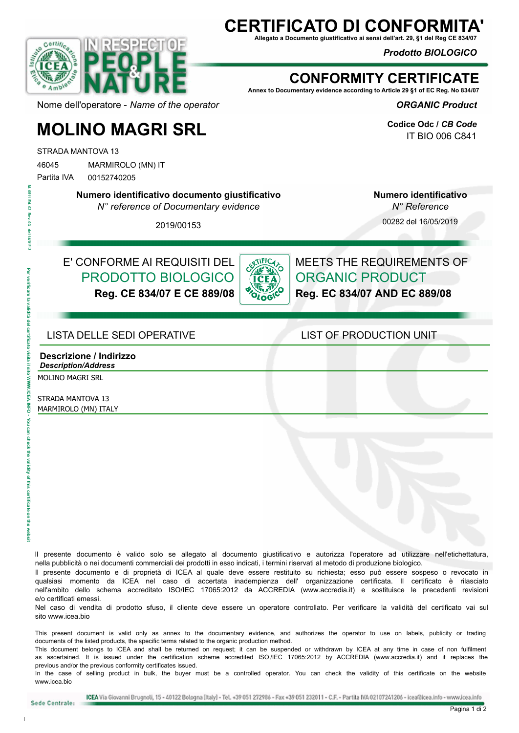## **CERTIFICATO DI CONFORI**

**Allegato a Documento giustificativo ai sensi dell'art. 29, §1 del Reg CE 834/07**

*Prodotto BIOLOGICO* 



### **CONFORMITY CERTIFICATE**

**Annex to Documentary evidence according to Article 29 §1 of EC Reg. No 834/07**

*ORGANIC Product* 

**Codice Odc /** *CB Code* IT BIO 006 C841

Nome dell'operatore - *Name of the operator*

# **MOLINO MAGRI SRL**

STRADA MANTOVA 13

46045 MARMIROLO (MN) IT Partita IVA 00152740205

**Numero identificativo documento giustificativo**

*N° reference of Documentary evidence*

**Numero identificativo**  *N° Reference*

00282 del 16/05/2019

2019/00153

E' CONFORME AI REQUISITI DEL PRODOTTO BIOLOGICO **Reg. CE 834/07 E CE 889/08**



MEETS THE REQUIREMENTS OF ORGANIC PRODUCT **Reg. EC 834/07 AND EC 889/08**

#### LISTA DELLE SEDI OPERATIVE LIST OF PRODUCTION UNIT

**Descrizione / Indirizzo** *Description/Address*

MOLINO MAGRI SRL

STRADA MANTOVA 13 MARMIROLO (MN) ITALY

ll presente documento è valido solo se allegato al documento giustificativo e autorizza l'operatore ad utilizzare nell'etichettatura, nella pubblicità o nei documenti commerciali dei prodotti in esso indicati, i termini riservati al metodo di produzione biologico.

Il presente documento e di proprietà di ICEA al quale deve essere restituito su richiesta; esso può essere sospeso o revocato in qualsiasi momento da ICEA nel caso di accertata inadempienza dell' organizzazione certificata. Il certificato è rilasciato nell'ambito dello schema accreditato ISO/IEC 17065:2012 da ACCREDIA (www.accredia.it) e sostituisce le precedenti revisioni e/o certificati emessi.

Nel caso di vendita di prodotto sfuso, il cliente deve essere un operatore controllato. Per verificare la validità del certificato vai sul sito www.icea.bio

This present document is valid only as annex to the documentary evidence, and authorizes the operator to use on labels, publicity or trading documents of the listed products, the specific terms related to the organic production method.

This document belongs to ICEA and shall be returned on request; it can be suspended or withdrawn by ICEA at any time in case of non fulfilment as ascertained. It is issued under the certification scheme accredited ISO /IEC 17065:2012 by ACCREDIA (www.accredia.it) and it replaces the previous and/or the previous conformity certificates issued.

In the case of selling product in bulk, the buyer must be a controlled operator. You can check the validity of this certificate on the website www.icea.bio

Sede Centrale: